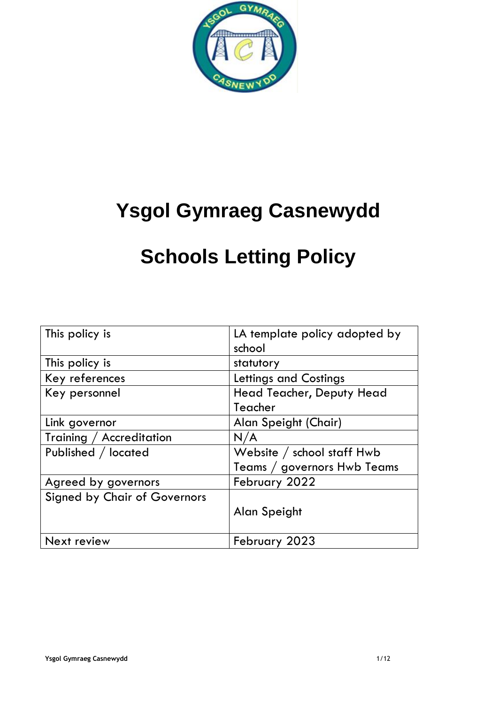

# **Ysgol Gymraeg Casnewydd**

# **Schools Letting Policy**

| This policy is                      | LA template policy adopted by<br>school |
|-------------------------------------|-----------------------------------------|
| This policy is                      | statutory                               |
| Key references                      | Lettings and Costings                   |
| Key personnel                       | <b>Head Teacher, Deputy Head</b>        |
|                                     | Teacher                                 |
| Link governor                       | Alan Speight (Chair)                    |
| Training / Accreditation            | N/A                                     |
| Published / located                 | Website / school staff Hwb              |
|                                     | Teams / governors Hwb Teams             |
| Agreed by governors                 | February 2022                           |
| <b>Signed by Chair of Governors</b> |                                         |
|                                     | Alan Speight                            |
| <b>Next review</b>                  | February 2023                           |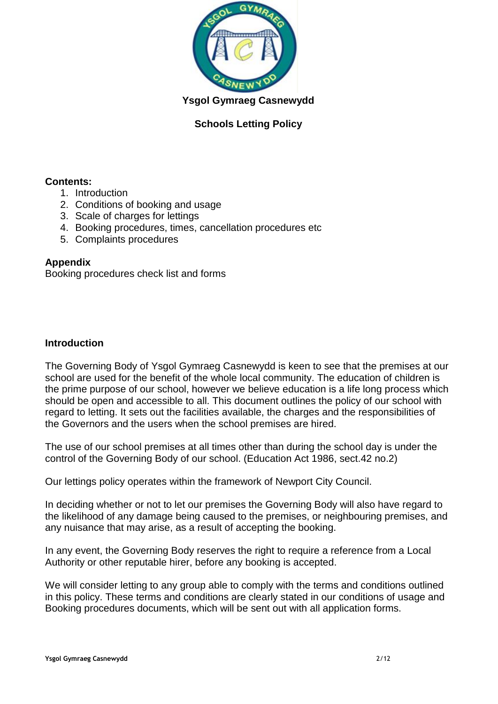

**Ysgol Gymraeg Casnewydd**

## **Schools Letting Policy**

### **Contents:**

- 1. Introduction
- 2. Conditions of booking and usage
- 3. Scale of charges for lettings
- 4. Booking procedures, times, cancellation procedures etc
- 5. Complaints procedures

### **Appendix**

Booking procedures check list and forms

#### **Introduction**

The Governing Body of Ysgol Gymraeg Casnewydd is keen to see that the premises at our school are used for the benefit of the whole local community. The education of children is the prime purpose of our school, however we believe education is a life long process which should be open and accessible to all. This document outlines the policy of our school with regard to letting. It sets out the facilities available, the charges and the responsibilities of the Governors and the users when the school premises are hired.

The use of our school premises at all times other than during the school day is under the control of the Governing Body of our school. (Education Act 1986, sect.42 no.2)

Our lettings policy operates within the framework of Newport City Council.

In deciding whether or not to let our premises the Governing Body will also have regard to the likelihood of any damage being caused to the premises, or neighbouring premises, and any nuisance that may arise, as a result of accepting the booking.

In any event, the Governing Body reserves the right to require a reference from a Local Authority or other reputable hirer, before any booking is accepted.

We will consider letting to any group able to comply with the terms and conditions outlined in this policy. These terms and conditions are clearly stated in our conditions of usage and Booking procedures documents, which will be sent out with all application forms.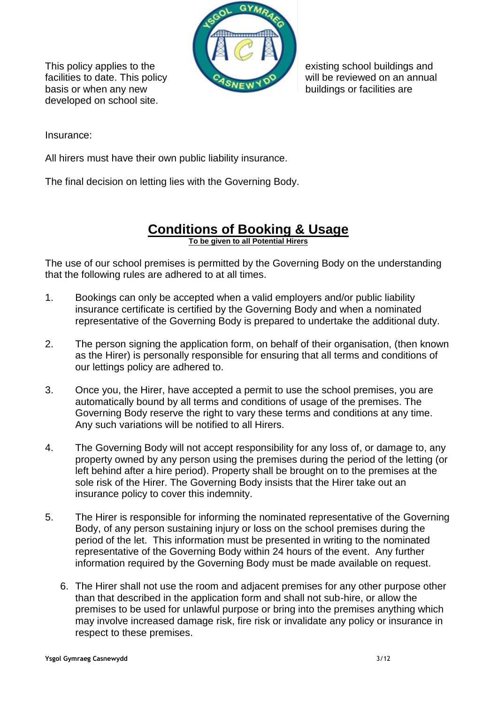

basis or when any new buildings or facilities are developed on school site.

This policy applies to the existing school buildings and facilities to date. This policy **CALC HOP** will be reviewed on an annual

Insurance:

All hirers must have their own public liability insurance.

The final decision on letting lies with the Governing Body.

# **Conditions of Booking & Usage**

**To be given to all Potential Hirers**

The use of our school premises is permitted by the Governing Body on the understanding that the following rules are adhered to at all times.

- 1. Bookings can only be accepted when a valid employers and/or public liability insurance certificate is certified by the Governing Body and when a nominated representative of the Governing Body is prepared to undertake the additional duty.
- 2. The person signing the application form, on behalf of their organisation, (then known as the Hirer) is personally responsible for ensuring that all terms and conditions of our lettings policy are adhered to.
- 3. Once you, the Hirer, have accepted a permit to use the school premises, you are automatically bound by all terms and conditions of usage of the premises. The Governing Body reserve the right to vary these terms and conditions at any time. Any such variations will be notified to all Hirers.
- 4. The Governing Body will not accept responsibility for any loss of, or damage to, any property owned by any person using the premises during the period of the letting (or left behind after a hire period). Property shall be brought on to the premises at the sole risk of the Hirer. The Governing Body insists that the Hirer take out an insurance policy to cover this indemnity.
- 5. The Hirer is responsible for informing the nominated representative of the Governing Body, of any person sustaining injury or loss on the school premises during the period of the let. This information must be presented in writing to the nominated representative of the Governing Body within 24 hours of the event. Any further information required by the Governing Body must be made available on request.
	- 6. The Hirer shall not use the room and adjacent premises for any other purpose other than that described in the application form and shall not sub-hire, or allow the premises to be used for unlawful purpose or bring into the premises anything which may involve increased damage risk, fire risk or invalidate any policy or insurance in respect to these premises.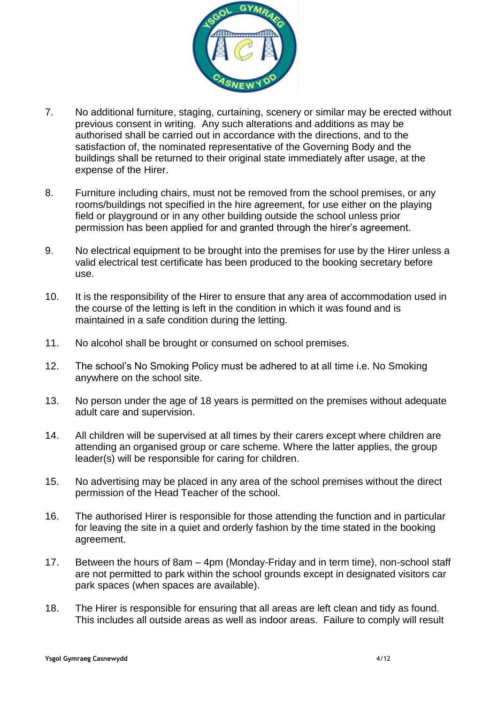

- 7. No additional furniture, staging, curtaining, scenery or similar may be erected without previous consent in writing. Any such alterations and additions as may be authorised shall be carried out in accordance with the directions, and to the satisfaction of, the nominated representative of the Governing Body and the buildings shall be returned to their original state immediately after usage, at the expense of the Hirer.
- 8. Furniture including chairs, must not be removed from the school premises, or any rooms/buildings not specified in the hire agreement, for use either on the playing field or playground or in any other building outside the school unless prior permission has been applied for and granted through the hirer's agreement.
- 9. No electrical equipment to be brought into the premises for use by the Hirer unless a valid electrical test certificate has been produced to the booking secretary before use.
- 10. It is the responsibility of the Hirer to ensure that any area of accommodation used in the course of the letting is left in the condition in which it was found and is maintained in a safe condition during the letting.
- 11. No alcohol shall be brought or consumed on school premises.
- 12. The school's No Smoking Policy must be adhered to at all time i.e. No Smoking anywhere on the school site.
- 13. No person under the age of 18 years is permitted on the premises without adequate adult care and supervision.
- 14. All children will be supervised at all times by their carers except where children are attending an organised group or care scheme. Where the latter applies, the group leader(s) will be responsible for caring for children.
- 15. No advertising may be placed in any area of the school premises without the direct permission of the Head Teacher of the school.
- 16. The authorised Hirer is responsible for those attending the function and in particular for leaving the site in a quiet and orderly fashion by the time stated in the booking agreement.
- 17. Between the hours of 8am 4pm (Monday-Friday and in term time), non-school staff are not permitted to park within the school grounds except in designated visitors car park spaces (when spaces are available).
- 18. The Hirer is responsible for ensuring that all areas are left clean and tidy as found. This includes all outside areas as well as indoor areas. Failure to comply will result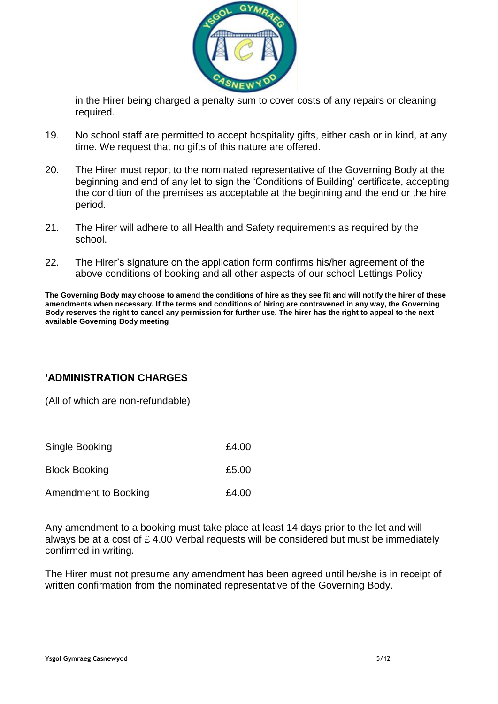

in the Hirer being charged a penalty sum to cover costs of any repairs or cleaning required.

- 19. No school staff are permitted to accept hospitality gifts, either cash or in kind, at any time. We request that no gifts of this nature are offered.
- 20. The Hirer must report to the nominated representative of the Governing Body at the beginning and end of any let to sign the 'Conditions of Building' certificate, accepting the condition of the premises as acceptable at the beginning and the end or the hire period.
- 21. The Hirer will adhere to all Health and Safety requirements as required by the school.
- 22. The Hirer's signature on the application form confirms his/her agreement of the above conditions of booking and all other aspects of our school Lettings Policy

**The Governing Body may choose to amend the conditions of hire as they see fit and will notify the hirer of these amendments when necessary. If the terms and conditions of hiring are contravened in any way, the Governing Body reserves the right to cancel any permission for further use. The hirer has the right to appeal to the next available Governing Body meeting** 

## **'ADMINISTRATION CHARGES**

(All of which are non-refundable)

| Single Booking       | £4.00 |
|----------------------|-------|
| <b>Block Booking</b> | £5.00 |
| Amendment to Booking | £4.00 |

Any amendment to a booking must take place at least 14 days prior to the let and will always be at a cost of £ 4.00 Verbal requests will be considered but must be immediately confirmed in writing.

The Hirer must not presume any amendment has been agreed until he/she is in receipt of written confirmation from the nominated representative of the Governing Body.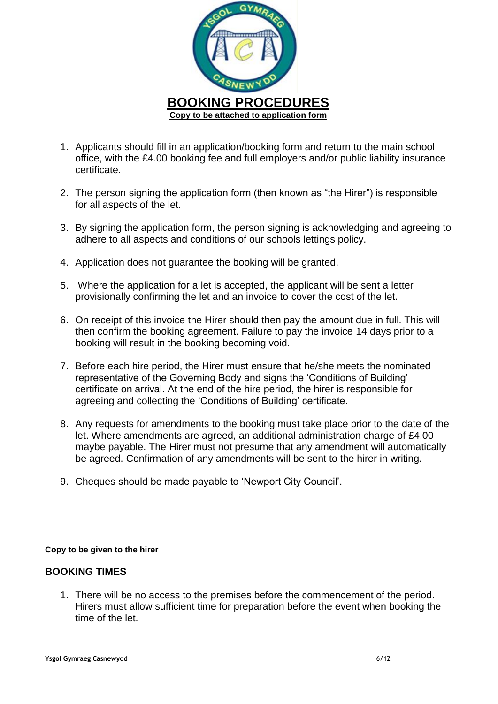

- 1. Applicants should fill in an application/booking form and return to the main school office, with the £4.00 booking fee and full employers and/or public liability insurance certificate.
- 2. The person signing the application form (then known as "the Hirer") is responsible for all aspects of the let.
- 3. By signing the application form, the person signing is acknowledging and agreeing to adhere to all aspects and conditions of our schools lettings policy.
- 4. Application does not guarantee the booking will be granted.
- 5. Where the application for a let is accepted, the applicant will be sent a letter provisionally confirming the let and an invoice to cover the cost of the let.
- 6. On receipt of this invoice the Hirer should then pay the amount due in full. This will then confirm the booking agreement. Failure to pay the invoice 14 days prior to a booking will result in the booking becoming void.
- 7. Before each hire period, the Hirer must ensure that he/she meets the nominated representative of the Governing Body and signs the 'Conditions of Building' certificate on arrival. At the end of the hire period, the hirer is responsible for agreeing and collecting the 'Conditions of Building' certificate.
- 8. Any requests for amendments to the booking must take place prior to the date of the let. Where amendments are agreed, an additional administration charge of £4.00 maybe payable. The Hirer must not presume that any amendment will automatically be agreed. Confirmation of any amendments will be sent to the hirer in writing.
- 9. Cheques should be made payable to 'Newport City Council'.

#### **Copy to be given to the hirer**

#### **BOOKING TIMES**

1. There will be no access to the premises before the commencement of the period. Hirers must allow sufficient time for preparation before the event when booking the time of the let.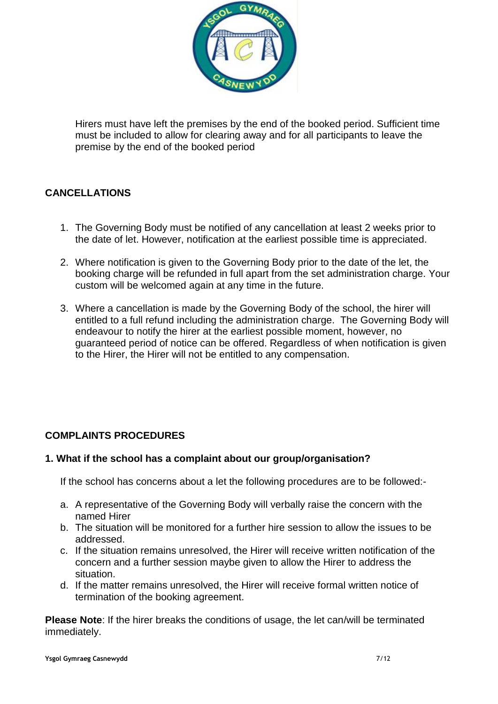

Hirers must have left the premises by the end of the booked period. Sufficient time must be included to allow for clearing away and for all participants to leave the premise by the end of the booked period

# **CANCELLATIONS**

- 1. The Governing Body must be notified of any cancellation at least 2 weeks prior to the date of let. However, notification at the earliest possible time is appreciated.
- 2. Where notification is given to the Governing Body prior to the date of the let, the booking charge will be refunded in full apart from the set administration charge. Your custom will be welcomed again at any time in the future.
- 3. Where a cancellation is made by the Governing Body of the school, the hirer will entitled to a full refund including the administration charge. The Governing Body will endeavour to notify the hirer at the earliest possible moment, however, no guaranteed period of notice can be offered. Regardless of when notification is given to the Hirer, the Hirer will not be entitled to any compensation.

## **COMPLAINTS PROCEDURES**

#### **1. What if the school has a complaint about our group/organisation?**

If the school has concerns about a let the following procedures are to be followed:-

- a. A representative of the Governing Body will verbally raise the concern with the named Hirer
- b. The situation will be monitored for a further hire session to allow the issues to be addressed.
- c. If the situation remains unresolved, the Hirer will receive written notification of the concern and a further session maybe given to allow the Hirer to address the situation.
- d. If the matter remains unresolved, the Hirer will receive formal written notice of termination of the booking agreement.

**Please Note**: If the hirer breaks the conditions of usage, the let can/will be terminated immediately.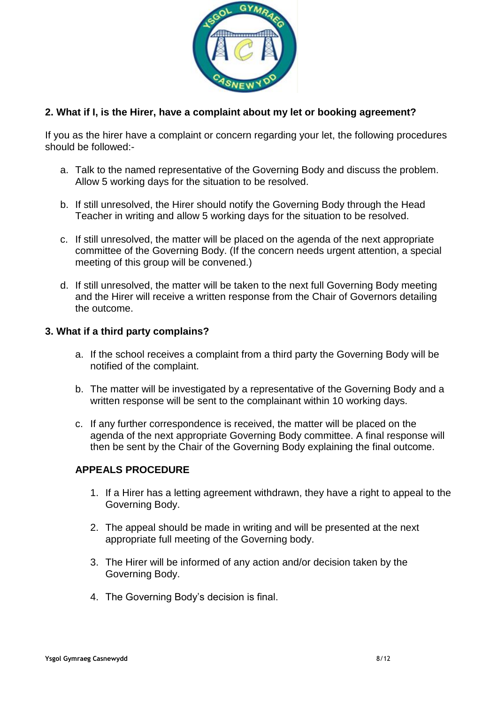

### **2. What if I, is the Hirer, have a complaint about my let or booking agreement?**

If you as the hirer have a complaint or concern regarding your let, the following procedures should be followed:-

- a. Talk to the named representative of the Governing Body and discuss the problem. Allow 5 working days for the situation to be resolved.
- b. If still unresolved, the Hirer should notify the Governing Body through the Head Teacher in writing and allow 5 working days for the situation to be resolved.
- c. If still unresolved, the matter will be placed on the agenda of the next appropriate committee of the Governing Body. (If the concern needs urgent attention, a special meeting of this group will be convened.)
- d. If still unresolved, the matter will be taken to the next full Governing Body meeting and the Hirer will receive a written response from the Chair of Governors detailing the outcome.

#### **3. What if a third party complains?**

- a. If the school receives a complaint from a third party the Governing Body will be notified of the complaint.
- b. The matter will be investigated by a representative of the Governing Body and a written response will be sent to the complainant within 10 working days.
- c. If any further correspondence is received, the matter will be placed on the agenda of the next appropriate Governing Body committee. A final response will then be sent by the Chair of the Governing Body explaining the final outcome.

#### **APPEALS PROCEDURE**

- 1. If a Hirer has a letting agreement withdrawn, they have a right to appeal to the Governing Body.
- 2. The appeal should be made in writing and will be presented at the next appropriate full meeting of the Governing body.
- 3. The Hirer will be informed of any action and/or decision taken by the Governing Body.
- 4. The Governing Body's decision is final.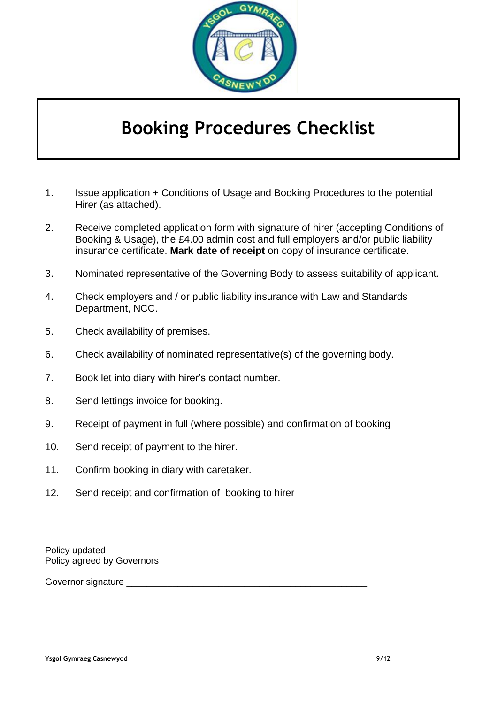

# **Booking Procedures Checklist**

- 1. Issue application + Conditions of Usage and Booking Procedures to the potential Hirer (as attached).
- 2. Receive completed application form with signature of hirer (accepting Conditions of Booking & Usage), the £4.00 admin cost and full employers and/or public liability insurance certificate. **Mark date of receipt** on copy of insurance certificate.
- 3. Nominated representative of the Governing Body to assess suitability of applicant.
- 4. Check employers and / or public liability insurance with Law and Standards Department, NCC.
- 5. Check availability of premises.
- 6. Check availability of nominated representative(s) of the governing body.
- 7. Book let into diary with hirer's contact number.
- 8. Send lettings invoice for booking.
- 9. Receipt of payment in full (where possible) and confirmation of booking
- 10. Send receipt of payment to the hirer.
- 11. Confirm booking in diary with caretaker.
- 12. Send receipt and confirmation of booking to hirer

Policy updated Policy agreed by Governors

Governor signature \_\_\_\_\_\_\_\_\_\_\_\_\_\_\_\_\_\_\_\_\_\_\_\_\_\_\_\_\_\_\_\_\_\_\_\_\_\_\_\_\_\_\_\_\_\_\_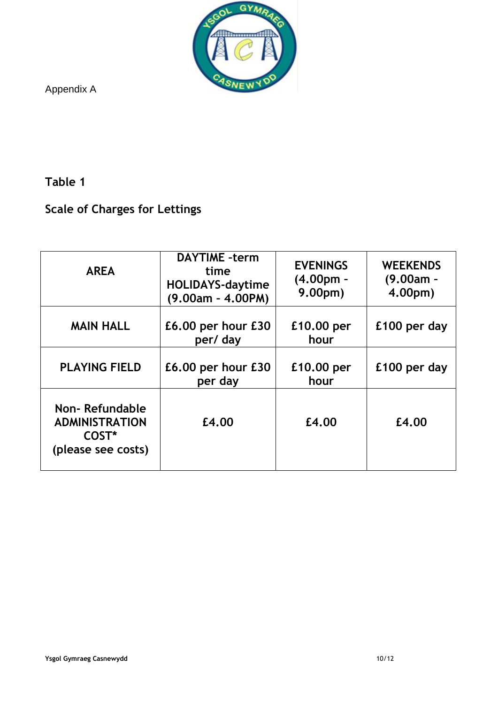

Appendix A

# **Table 1**

# **Scale of Charges for Lettings**

| <b>AREA</b>                                                            | <b>DAYTIME</b> -term<br>time<br><b>HOLIDAYS-daytime</b><br>(9.00am - 4.00PM) | <b>EVENINGS</b><br>$(4.00pm -$<br>9.00 <sub>pm</sub> | <b>WEEKENDS</b><br>$(9.00am -$<br>4.00pm) |
|------------------------------------------------------------------------|------------------------------------------------------------------------------|------------------------------------------------------|-------------------------------------------|
| <b>MAIN HALL</b>                                                       | $E6.00$ per hour $E30$<br>per/ day                                           | £10.00 per<br>hour                                   | £100 per day                              |
| <b>PLAYING FIELD</b>                                                   | £6.00 per hour £30<br>per day                                                | £10.00 per<br>hour                                   | £100 per day                              |
| Non-Refundable<br><b>ADMINISTRATION</b><br>COST*<br>(please see costs) | £4.00                                                                        | £4.00                                                | £4.00                                     |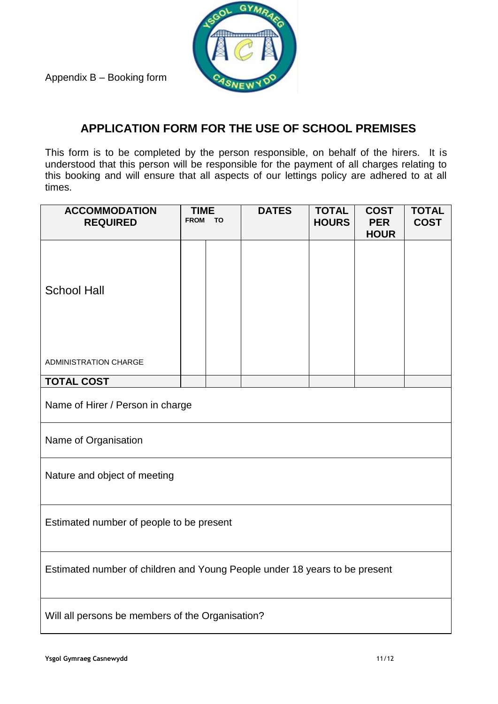

Appendix B – Booking form

# **APPLICATION FORM FOR THE USE OF SCHOOL PREMISES**

This form is to be completed by the person responsible, on behalf of the hirers. It is understood that this person will be responsible for the payment of all charges relating to this booking and will ensure that all aspects of our lettings policy are adhered to at all times.

| <b>ACCOMMODATION</b><br><b>REQUIRED</b>                                    | <b>TIME</b><br><b>FROM</b> | TO | <b>DATES</b> | <b>TOTAL</b><br><b>HOURS</b> | <b>COST</b><br><b>PER</b><br><b>HOUR</b> | <b>TOTAL</b><br><b>COST</b> |
|----------------------------------------------------------------------------|----------------------------|----|--------------|------------------------------|------------------------------------------|-----------------------------|
| <b>School Hall</b>                                                         |                            |    |              |                              |                                          |                             |
| <b>ADMINISTRATION CHARGE</b>                                               |                            |    |              |                              |                                          |                             |
| <b>TOTAL COST</b>                                                          |                            |    |              |                              |                                          |                             |
| Name of Hirer / Person in charge                                           |                            |    |              |                              |                                          |                             |
| Name of Organisation                                                       |                            |    |              |                              |                                          |                             |
| Nature and object of meeting                                               |                            |    |              |                              |                                          |                             |
| Estimated number of people to be present                                   |                            |    |              |                              |                                          |                             |
| Estimated number of children and Young People under 18 years to be present |                            |    |              |                              |                                          |                             |
| Will all persons be members of the Organisation?                           |                            |    |              |                              |                                          |                             |